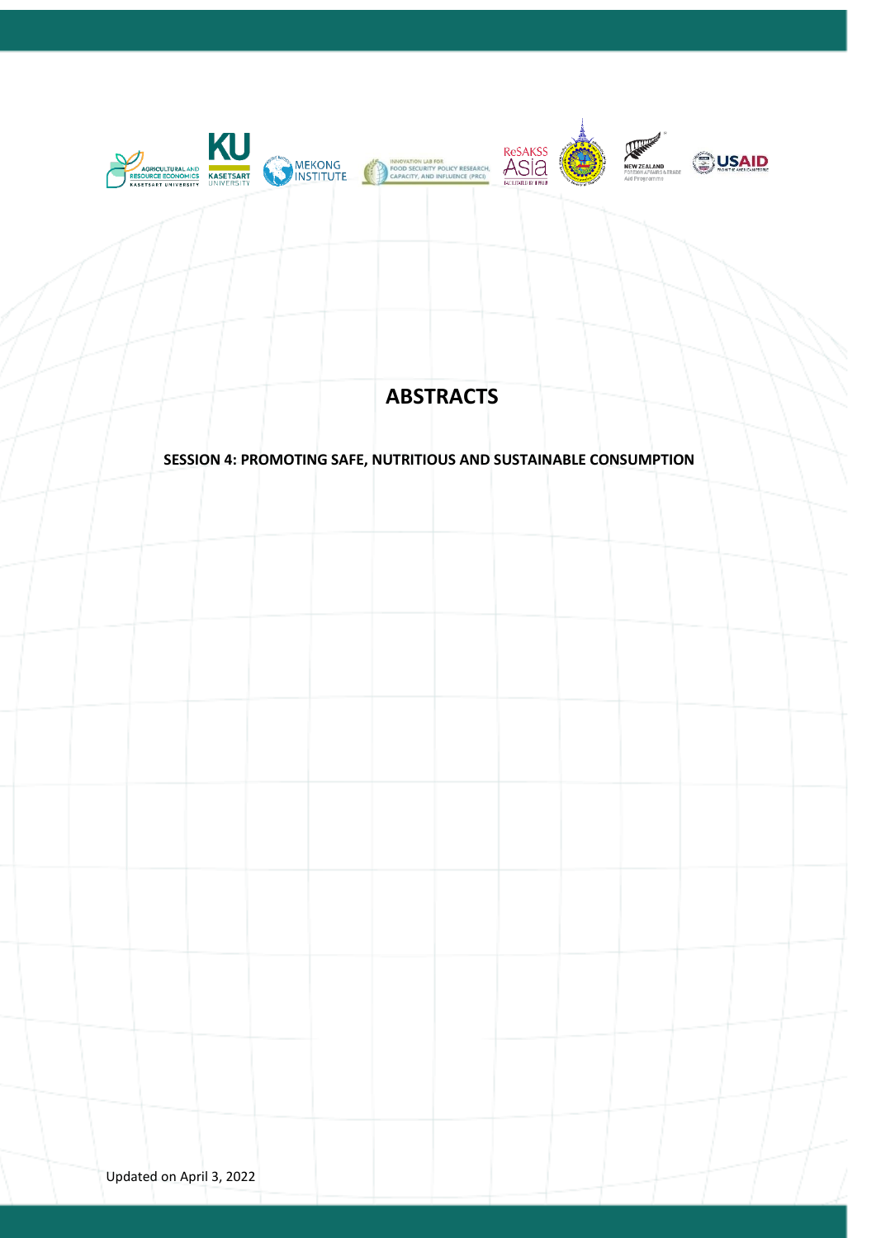

# **ABSTRACTS**

## **SESSION 4: PROMOTING SAFE, NUTRITIOUS AND SUSTAINABLE CONSUMPTION**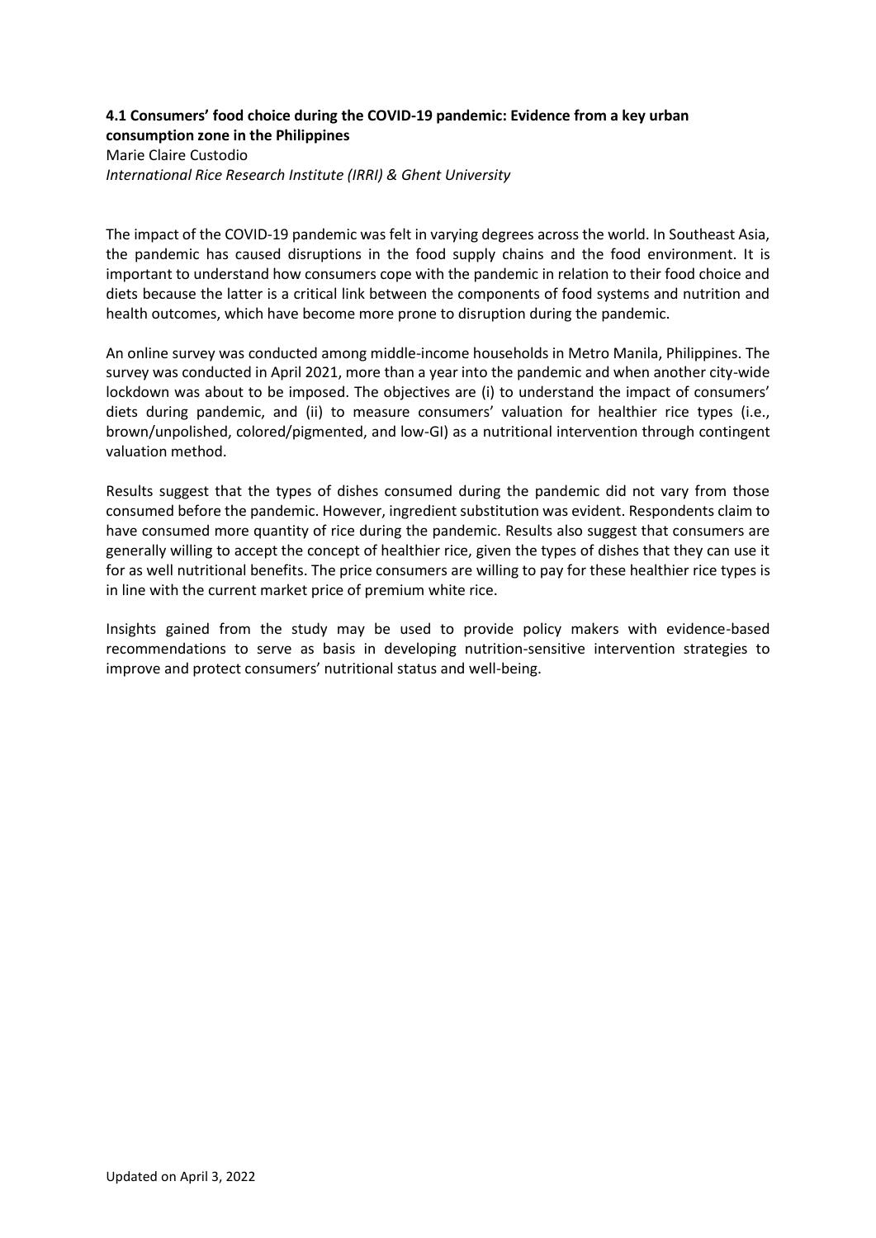#### **4.1 Consumers' food choice during the COVID-19 pandemic: Evidence from a key urban consumption zone in the Philippines** Marie Claire Custodio

*International Rice Research Institute (IRRI) & Ghent University*

The impact of the COVID-19 pandemic was felt in varying degrees across the world. In Southeast Asia, the pandemic has caused disruptions in the food supply chains and the food environment. It is important to understand how consumers cope with the pandemic in relation to their food choice and diets because the latter is a critical link between the components of food systems and nutrition and health outcomes, which have become more prone to disruption during the pandemic.

An online survey was conducted among middle-income households in Metro Manila, Philippines. The survey was conducted in April 2021, more than a year into the pandemic and when another city-wide lockdown was about to be imposed. The objectives are (i) to understand the impact of consumers' diets during pandemic, and (ii) to measure consumers' valuation for healthier rice types (i.e., brown/unpolished, colored/pigmented, and low-GI) as a nutritional intervention through contingent valuation method.

Results suggest that the types of dishes consumed during the pandemic did not vary from those consumed before the pandemic. However, ingredient substitution was evident. Respondents claim to have consumed more quantity of rice during the pandemic. Results also suggest that consumers are generally willing to accept the concept of healthier rice, given the types of dishes that they can use it for as well nutritional benefits. The price consumers are willing to pay for these healthier rice types is in line with the current market price of premium white rice.

Insights gained from the study may be used to provide policy makers with evidence-based recommendations to serve as basis in developing nutrition-sensitive intervention strategies to improve and protect consumers' nutritional status and well-being.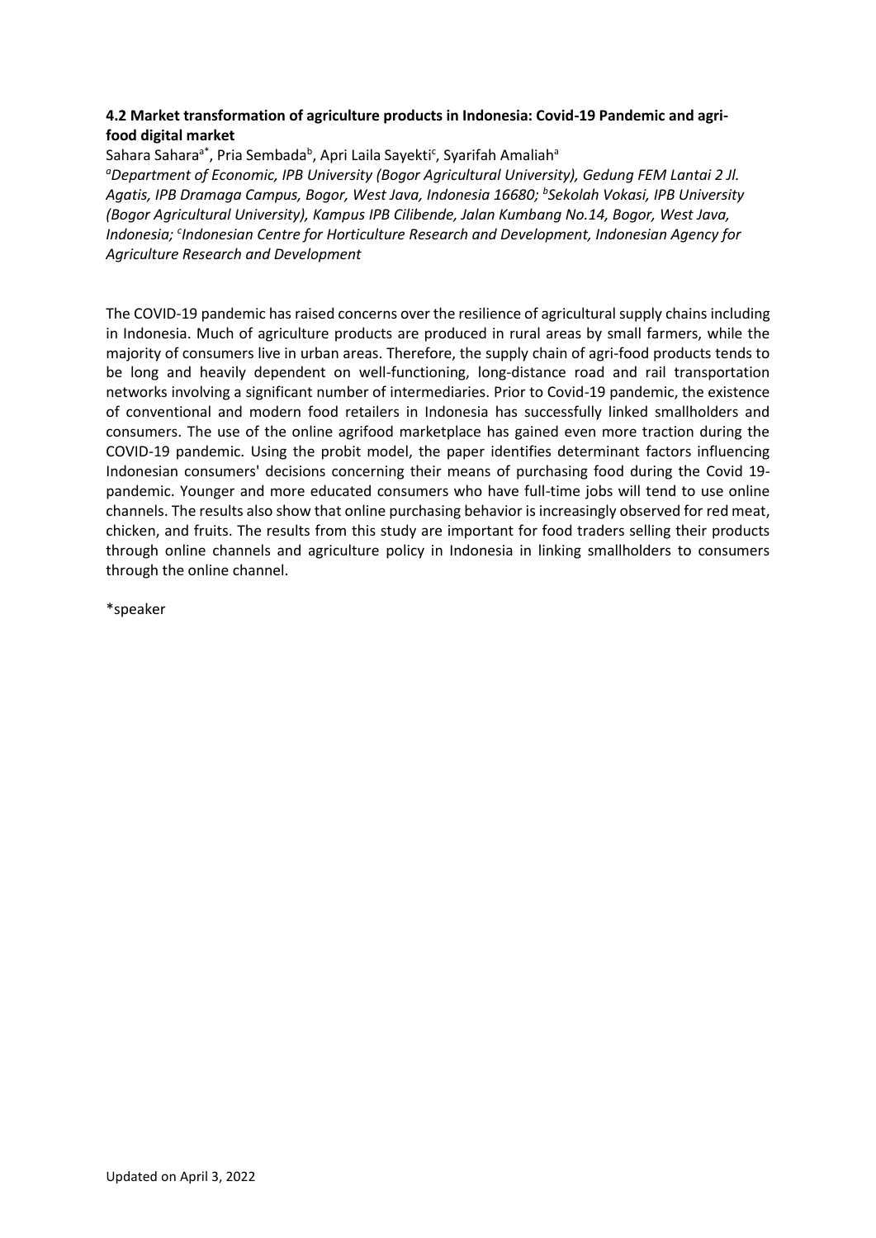### **4.2 Market transformation of agriculture products in Indonesia: Covid-19 Pandemic and agrifood digital market**

Sahara Sahara<sup>a\*</sup>, Pria Sembada<sup>b</sup>, Apri Laila Sayekti<sup>c</sup>, Syarifah Amaliah<sup>a</sup> *<sup>a</sup>Department of Economic, IPB University (Bogor Agricultural University), Gedung FEM Lantai 2 Jl. Agatis, IPB Dramaga Campus, Bogor, West Java, Indonesia 16680; <sup>b</sup> Sekolah Vokasi, IPB University (Bogor Agricultural University), Kampus IPB Cilibende, Jalan Kumbang No.14, Bogor, West Java,*  Indonesia; <sup>c</sup>Indonesian Centre for Horticulture Research and Development, Indonesian Agency for *Agriculture Research and Development*

The COVID-19 pandemic has raised concerns over the resilience of agricultural supply chains including in Indonesia. Much of agriculture products are produced in rural areas by small farmers, while the majority of consumers live in urban areas. Therefore, the supply chain of agri-food products tends to be long and heavily dependent on well-functioning, long-distance road and rail transportation networks involving a significant number of intermediaries. Prior to Covid-19 pandemic, the existence of conventional and modern food retailers in Indonesia has successfully linked smallholders and consumers. The use of the online agrifood marketplace has gained even more traction during the COVID-19 pandemic. Using the probit model, the paper identifies determinant factors influencing Indonesian consumers' decisions concerning their means of purchasing food during the Covid 19 pandemic. Younger and more educated consumers who have full-time jobs will tend to use online channels. The results also show that online purchasing behavior is increasingly observed for red meat, chicken, and fruits. The results from this study are important for food traders selling their products through online channels and agriculture policy in Indonesia in linking smallholders to consumers through the online channel.

\*speaker